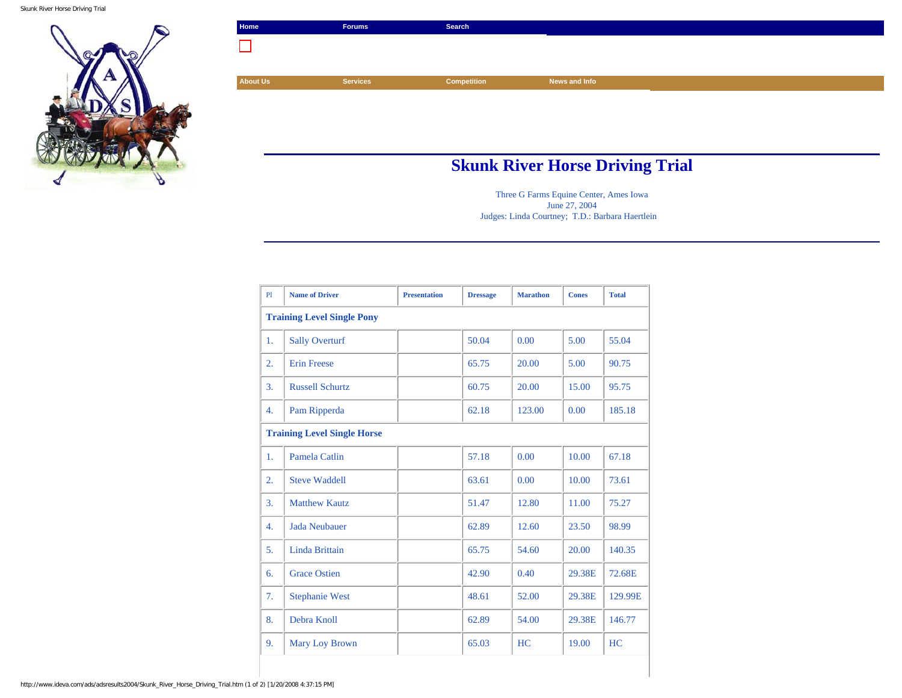Skunk River Horse Driving Trial



| Home            | Forums          | Search      |               |  |
|-----------------|-----------------|-------------|---------------|--|
|                 |                 |             |               |  |
|                 |                 |             |               |  |
| <b>About Us</b> | <b>Services</b> | Competition | News and Info |  |
|                 |                 |             |               |  |
|                 |                 |             |               |  |
|                 |                 |             |               |  |
|                 |                 |             |               |  |
|                 |                 |             |               |  |

## **Skunk River Horse Driving Trial**

Three G Farms Equine Center, Ames Iowa June 27, 2004 Judges: Linda Courtney; T.D.: Barbara Haertlein

| P1                                 | <b>Name of Driver</b>  | <b>Presentation</b> | <b>Dressage</b> | <b>Marathon</b> | <b>Cones</b> | <b>Total</b> |  |  |
|------------------------------------|------------------------|---------------------|-----------------|-----------------|--------------|--------------|--|--|
| <b>Training Level Single Pony</b>  |                        |                     |                 |                 |              |              |  |  |
| 1.                                 | <b>Sally Overturf</b>  |                     | 50.04           | 0.00            | 5.00         | 55.04        |  |  |
| $\overline{2}$ .                   | <b>Erin Freese</b>     |                     | 65.75           | 20.00           | 5.00         | 90.75        |  |  |
| 3.                                 | <b>Russell Schurtz</b> |                     | 60.75           | 20.00           | 15.00        | 95.75        |  |  |
| 4.                                 | Pam Ripperda           |                     | 62.18           | 123.00          | 0.00         | 185.18       |  |  |
| <b>Training Level Single Horse</b> |                        |                     |                 |                 |              |              |  |  |
| 1.                                 | <b>Pamela Catlin</b>   |                     | 57.18           | 0.00            | 10.00        | 67.18        |  |  |
| $\overline{2}$ .                   | <b>Steve Waddell</b>   |                     | 63.61           | 0.00            | 10.00        | 73.61        |  |  |
| 3.                                 | <b>Matthew Kautz</b>   |                     | 51.47           | 12.80           | 11.00        | 75.27        |  |  |
| 4.                                 | <b>Jada Neubauer</b>   |                     | 62.89           | 12.60           | 23.50        | 98.99        |  |  |
| 5.                                 | Linda Brittain         |                     | 65.75           | 54.60           | 20.00        | 140.35       |  |  |
| 6.                                 | <b>Grace Ostien</b>    |                     | 42.90           | 0.40            | 29.38E       | 72.68E       |  |  |
| 7.                                 | <b>Stephanie West</b>  |                     | 48.61           | 52.00           | 29.38E       | 129.99E      |  |  |
| 8.                                 | Debra Knoll            |                     | 62.89           | 54.00           | 29.38E       | 146.77       |  |  |
| 9.                                 | <b>Mary Loy Brown</b>  |                     | 65.03           | HC              | 19.00        | HC           |  |  |